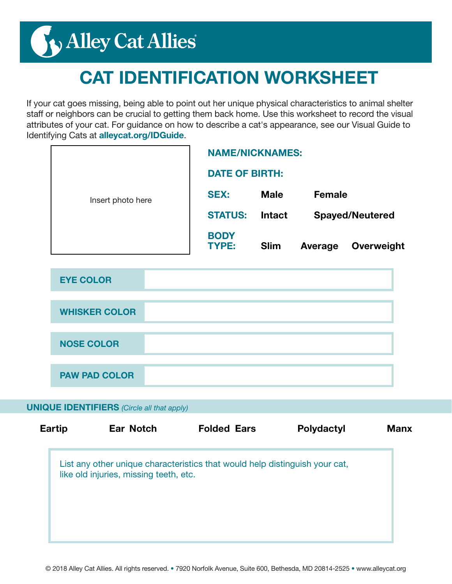# Nalley Cat Allies

### CAT IDENTIFICATION WORKSHEET

If your cat goes missing, being able to point out her unique physical characteristics to animal shelter staff or neighbors can be crucial to getting them back home. Use this worksheet to record the visual attributes of your cat. For guidance on how to describe a cat's appearance, see our Visual Guide to Identifying Cats at alleycat.org/IDGuide.

|                   | <b>NAME/NICKNAMES:</b>      |               |                        |            |
|-------------------|-----------------------------|---------------|------------------------|------------|
| Insert photo here | <b>DATE OF BIRTH:</b>       |               |                        |            |
|                   | <b>SEX:</b>                 | <b>Male</b>   | <b>Female</b>          |            |
|                   | <b>STATUS:</b>              | <b>Intact</b> | <b>Spayed/Neutered</b> |            |
|                   | <b>BODY</b><br><b>TYPE:</b> | <b>Slim</b>   | Average                | Overweight |

| <b>EYE COLOR</b>     |  |
|----------------------|--|
|                      |  |
| <b>WHISKER COLOR</b> |  |
|                      |  |
| <b>NOSE COLOR</b>    |  |
|                      |  |
| <b>PAW PAD COLOR</b> |  |

#### UNIQUE IDENTIFIERS *(Circle all that apply)*

| <b>Eartip</b> | <b>Ear Notch</b>                                                                                                      | <b>Folded Ears</b> | <b>Polydactyl</b> | <b>Manx</b> |
|---------------|-----------------------------------------------------------------------------------------------------------------------|--------------------|-------------------|-------------|
|               | List any other unique characteristics that would help distinguish your cat,<br>like old injuries, missing teeth, etc. |                    |                   |             |